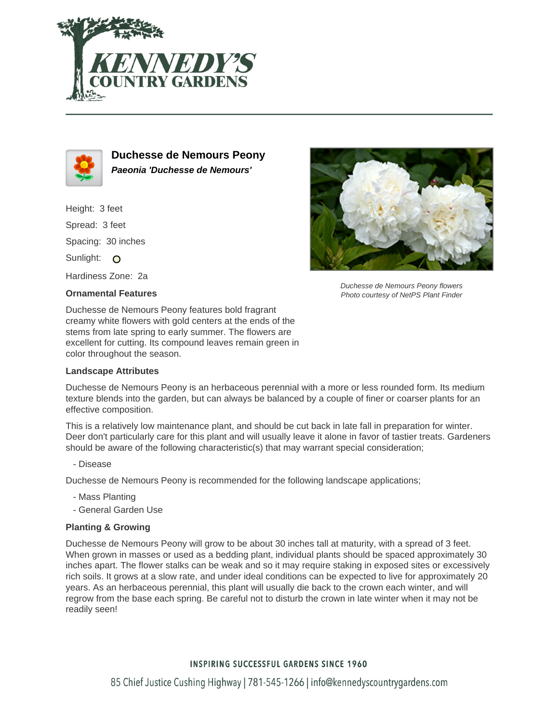



**Duchesse de Nemours Peony Paeonia 'Duchesse de Nemours'**

Height: 3 feet Spread: 3 feet Spacing: 30 inches Sunlight: O Hardiness Zone: 2a

## **Ornamental Features**

Duchesse de Nemours Peony features bold fragrant creamy white flowers with gold centers at the ends of the stems from late spring to early summer. The flowers are excellent for cutting. Its compound leaves remain green in color throughout the season.

## **Landscape Attributes**



Duchesse de Nemours Peony flowers Photo courtesy of NetPS Plant Finder

Duchesse de Nemours Peony is an herbaceous perennial with a more or less rounded form. Its medium texture blends into the garden, but can always be balanced by a couple of finer or coarser plants for an effective composition.

This is a relatively low maintenance plant, and should be cut back in late fall in preparation for winter. Deer don't particularly care for this plant and will usually leave it alone in favor of tastier treats. Gardeners should be aware of the following characteristic(s) that may warrant special consideration;

- Disease

Duchesse de Nemours Peony is recommended for the following landscape applications;

- Mass Planting
- General Garden Use

## **Planting & Growing**

Duchesse de Nemours Peony will grow to be about 30 inches tall at maturity, with a spread of 3 feet. When grown in masses or used as a bedding plant, individual plants should be spaced approximately 30 inches apart. The flower stalks can be weak and so it may require staking in exposed sites or excessively rich soils. It grows at a slow rate, and under ideal conditions can be expected to live for approximately 20 years. As an herbaceous perennial, this plant will usually die back to the crown each winter, and will regrow from the base each spring. Be careful not to disturb the crown in late winter when it may not be readily seen!

## **INSPIRING SUCCESSFUL GARDENS SINCE 1960**